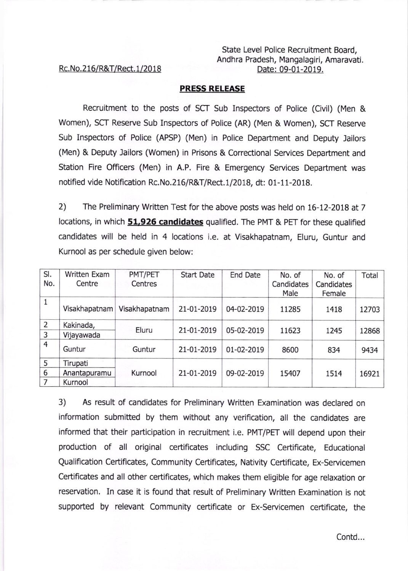## Rc.No.2 16/R&T/Rect. 1/20 18

## PRESS RELEASE

Recruitment to the posts of SCT Sub Inspectors of Police (Civil) (Men & Women), SCT Reserve Sub Inspectors of Police (AR) (Men & Women), SCT Reserve Sub Inspectors of Police (APSP) (Men) in Police Department and Deputy Jailors (Men) & Deputy Jailors (Women) in Prisons & Correctional Services Department and Station Fire Officers (Men) in A.P. Fire & Emergency Services Department was notified vide Notification Rc.No.216/R&T/Rect.1/2018, dt: 01-11-2018.

2) The Preliminary Written Test for the above posts was held on 16-12-2018 at 7 locations, in which **51,926 candidates** qualified. The PMT & PET for these qualified candidates will be held in 4 locations i.e. at Visakhapatnam, Eluru, Guntur and Kurnool as per schedule given below:

| SI.<br>No.          | <b>Written Exam</b><br>Centre       | PMT/PET<br>Centres | <b>Start Date</b> | <b>End Date</b> | No. of<br>Candidates<br>Male | No. of<br>Candidates<br>Female | Total |
|---------------------|-------------------------------------|--------------------|-------------------|-----------------|------------------------------|--------------------------------|-------|
| 1                   | Visakhapatnam                       | Visakhapatnam      | 21-01-2019        | 04-02-2019      | 11285                        | 1418                           | 12703 |
| $\overline{2}$<br>3 | Kakinada,<br>Vijayawada             | Eluru              | 21-01-2019        | 05-02-2019      | 11623                        | 1245                           | 12868 |
| 4                   | Guntur                              | Guntur             | 21-01-2019        | 01-02-2019      | 8600                         | 834                            | 9434  |
| 5<br>6<br>7         | Tirupati<br>Anantapuramu<br>Kurnool | Kurnool            | 21-01-2019        | 09-02-2019      | 15407                        | 1514                           | 16921 |

3) As result of candidates for Preliminary Written Examination was declared on information submitted by them without any verification, all the candidates are informed that their participation in recruitment i.e. PMT/PET will depend upon their production of all original certificates including SSC Certificate, Educational Qualification Certificates, Community Certificates, Nativity Certificate, Ex-Servicemen Certificates and all other certificates, which makes them eligible for age relaxation or reservation. In case it is found that result of Preliminary Written Examination is not supported by relevant Community certificate or Ex-Servicemen certificate, the